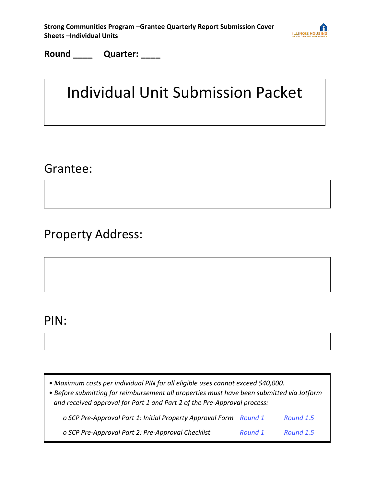| Strong Communities Program - Grantee Quarterly Report Submission Cover |  |
|------------------------------------------------------------------------|--|
| <b>Sheets - Individual Units</b>                                       |  |



**Round \_\_\_\_ Quarter: \_\_\_\_**

#### Individual Unit Submission Packet

#### Grantee:

Property Address:

#### PIN:

*• Maximum costs per individual PIN for all eligible uses cannot exceed \$40,000.*

*• Before submitting for reimbursement all properties must have been submitted via Jotform and received approval for Part 1 and Part 2 of the Pre-Approval process:*

*o SCP Pre-Approval Part 1: Initial Property Approval Form [Round 1](https://form.jotform.com/210264603389152) [Round 1.5](https://form.jotform.com/220386566346159) o SCP Pre-Approval Part 2: Pre-Approval Checklist [Round 1](https://form.jotform.com/210395055992158) [Round 1.5](https://form.jotform.com/220385604850151)*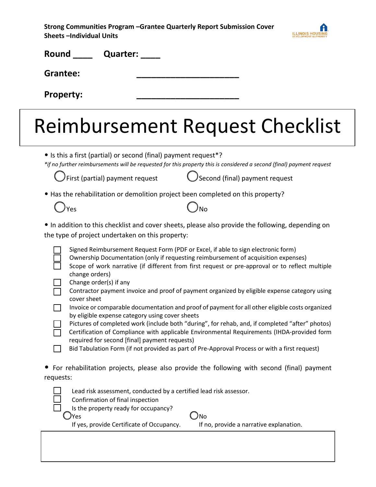| Strong Communities Program – Grantee Quarterly Report Submission Cover |
|------------------------------------------------------------------------|
| Sheets –Individual Units                                               |



| Round<br>Quarter:                                                                                                                                           |                                                                                                                                                                                                                                                                                                                                                                                                                                                                                                                                                                                                                                                                                |
|-------------------------------------------------------------------------------------------------------------------------------------------------------------|--------------------------------------------------------------------------------------------------------------------------------------------------------------------------------------------------------------------------------------------------------------------------------------------------------------------------------------------------------------------------------------------------------------------------------------------------------------------------------------------------------------------------------------------------------------------------------------------------------------------------------------------------------------------------------|
| <b>Grantee:</b>                                                                                                                                             |                                                                                                                                                                                                                                                                                                                                                                                                                                                                                                                                                                                                                                                                                |
| <b>Property:</b>                                                                                                                                            |                                                                                                                                                                                                                                                                                                                                                                                                                                                                                                                                                                                                                                                                                |
|                                                                                                                                                             | Reimbursement Request Checklist                                                                                                                                                                                                                                                                                                                                                                                                                                                                                                                                                                                                                                                |
| • Is this a first (partial) or second (final) payment request*?                                                                                             | *if no further reimbursements will be requested for this property this is considered a second (final) payment request                                                                                                                                                                                                                                                                                                                                                                                                                                                                                                                                                          |
| First (partial) payment request                                                                                                                             | Second (final) payment request                                                                                                                                                                                                                                                                                                                                                                                                                                                                                                                                                                                                                                                 |
| • Has the rehabilitation or demolition project been completed on this property?<br>) <sub>Yes</sub>                                                         | No                                                                                                                                                                                                                                                                                                                                                                                                                                                                                                                                                                                                                                                                             |
| the type of project undertaken on this property:                                                                                                            | • In addition to this checklist and cover sheets, please also provide the following, depending on                                                                                                                                                                                                                                                                                                                                                                                                                                                                                                                                                                              |
| change orders)<br>Change order(s) if any<br>cover sheet<br>by eligible expense category using cover sheets<br>required for second [final] payment requests) | Signed Reimbursement Request Form (PDF or Excel, if able to sign electronic form)<br>Ownership Documentation (only if requesting reimbursement of acquisition expenses)<br>Scope of work narrative (if different from first request or pre-approval or to reflect multiple<br>Contractor payment invoice and proof of payment organized by eligible expense category using<br>Invoice or comparable documentation and proof of payment for all other eligible costs organized<br>Pictures of completed work (include both "during", for rehab, and, if completed "after" photos)<br>Certification of Compliance with applicable Environmental Requirements (IHDA-provided form |
| requests:                                                                                                                                                   | Bid Tabulation Form (if not provided as part of Pre-Approval Process or with a first request)<br>For rehabilitation projects, please also provide the following with second (final) payment                                                                                                                                                                                                                                                                                                                                                                                                                                                                                    |
| Lead risk assessment, conducted by a certified lead risk assessor.<br>Confirmation of final inspection<br>Is the property ready for occupancy?              |                                                                                                                                                                                                                                                                                                                                                                                                                                                                                                                                                                                                                                                                                |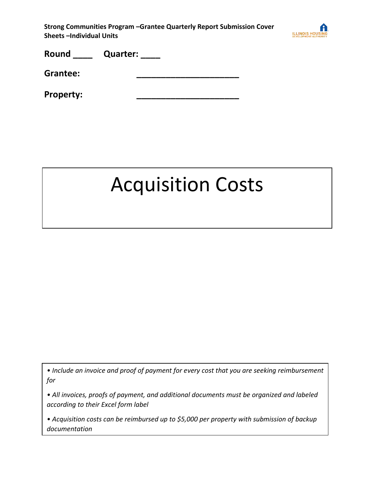

**Grantee: \_\_\_\_\_\_\_\_\_\_\_\_\_\_\_\_\_\_\_\_\_** 

**Property: \_\_\_\_\_\_\_\_\_\_\_\_\_\_\_\_\_\_\_\_\_**

### Acquisition Costs

*• Include an invoice and proof of payment for every cost that you are seeking reimbursement for*

*• All invoices, proofs of payment, and additional documents must be organized and labeled according to their Excel form label*

*• Acquisition costs can be reimbursed up to \$5,000 per property with submission of backup documentation*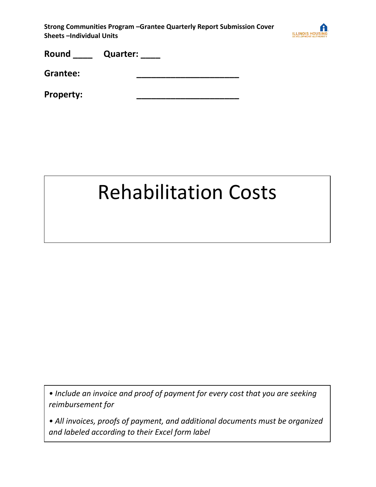

| Round    | <b>Quarter:</b> |
|----------|-----------------|
| Grantee: |                 |

**Property: \_\_\_\_\_\_\_\_\_\_\_\_\_\_\_\_\_\_\_\_\_**

#### Rehabilitation Costs

*• Include an invoice and proof of payment for every cost that you are seeking reimbursement for*

*• All invoices, proofs of payment, and additional documents must be organized and labeled according to their Excel form label*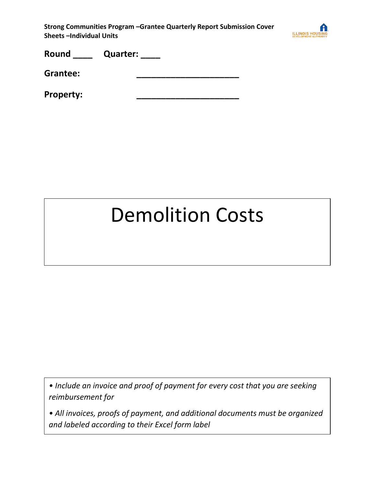

| Round    | <b>Quarter:</b> |
|----------|-----------------|
| Grantee: |                 |

**Property: \_\_\_\_\_\_\_\_\_\_\_\_\_\_\_\_\_\_\_\_\_**

## Demolition Costs

*• Include an invoice and proof of payment for every cost that you are seeking reimbursement for*

*• All invoices, proofs of payment, and additional documents must be organized and labeled according to their Excel form label*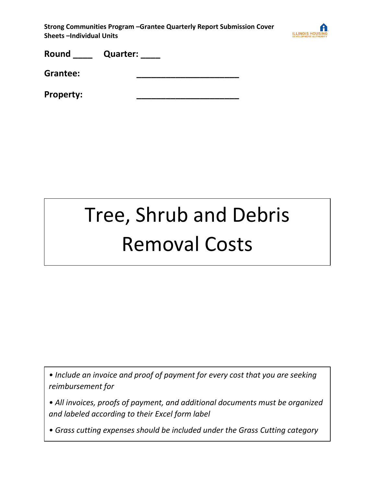

**Grantee: \_\_\_\_\_\_\_\_\_\_\_\_\_\_\_\_\_\_\_\_\_** 

**Property: \_\_\_\_\_\_\_\_\_\_\_\_\_\_\_\_\_\_\_\_\_**

## Tree, Shrub and Debris Removal Costs

*• Include an invoice and proof of payment for every cost that you are seeking reimbursement for*

*• All invoices, proofs of payment, and additional documents must be organized and labeled according to their Excel form label*

*• Grass cutting expenses should be included under the Grass Cutting category*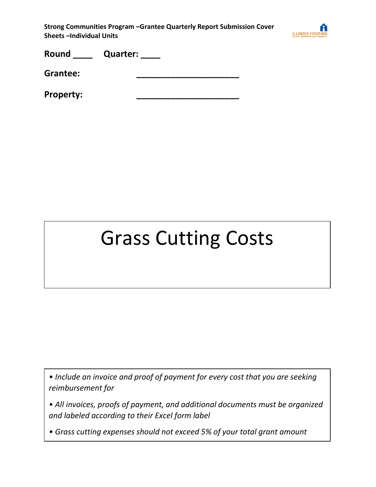

| Round | <b>Quarter:</b> |  |
|-------|-----------------|--|
|       |                 |  |

**Grantee: \_\_\_\_\_\_\_\_\_\_\_\_\_\_\_\_\_\_\_\_\_** 

**Property: \_\_\_\_\_\_\_\_\_\_\_\_\_\_\_\_\_\_\_\_\_**

## Grass Cutting Costs

*• Include an invoice and proof of payment for every cost that you are seeking reimbursement for*

*• All invoices, proofs of payment, and additional documents must be organized and labeled according to their Excel form label*

*• Grass cutting expenses should not exceed 5% of your total grant amount*